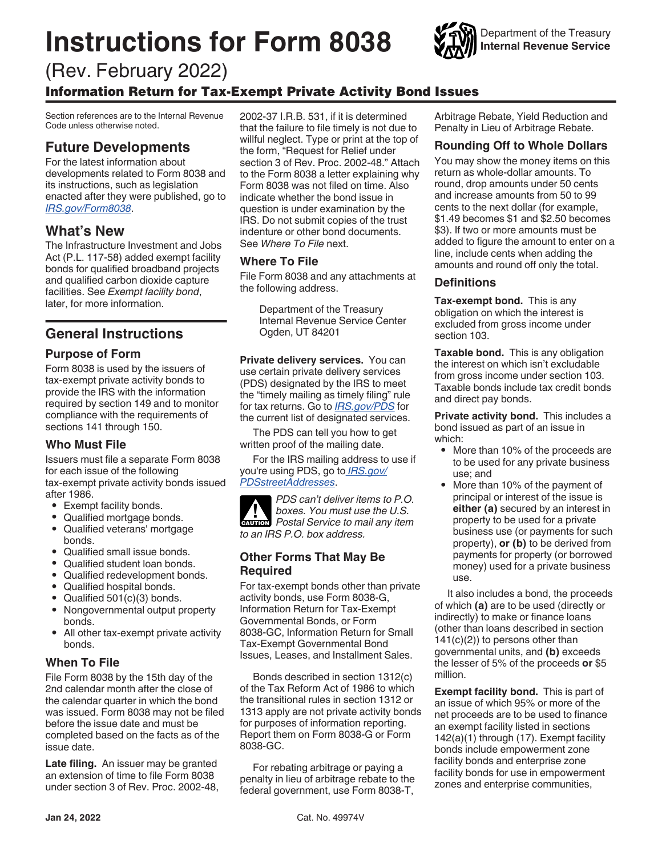# **Instructions for Form 8038**



# (Rev. February 2022) Information Return for Tax-Exempt Private Activity Bond Issues

Section references are to the Internal Revenue Code unless otherwise noted.

# **Future Developments**

For the latest information about developments related to Form 8038 and its instructions, such as legislation enacted after they were published, go to *[IRS.gov/Form8038](https://www.irs.gov/form8038)*.

# **What's New**

The Infrastructure Investment and Jobs Act (P.L. 117-58) added exempt facility bonds for qualified broadband projects and qualified carbon dioxide capture facilities. See *Exempt facility bond*, later, for more information.

## **General Instructions**

## **Purpose of Form**

Form 8038 is used by the issuers of tax-exempt private activity bonds to provide the IRS with the information required by section 149 and to monitor compliance with the requirements of sections 141 through 150.

## **Who Must File**

Issuers must file a separate Form 8038 for each issue of the following tax-exempt private activity bonds issued after 1986.

- Exempt facility bonds.
- Qualified mortgage bonds.<br>• Qualified veterans' mortgage
- Qualified veterans' mortgage bonds.
- Qualified small issue bonds.<br>• Qualified student loan bonds
- Qualified student loan bonds.
- Qualified redevelopment bonds.<br>• Qualified bosnital bonds
- Qualified hospital bonds.
- Qualified 501(c)(3) bonds.
- Nongovernmental output property bonds.
- All other tax-exempt private activity bonds.

## **When To File**

File Form 8038 by the 15th day of the 2nd calendar month after the close of the calendar quarter in which the bond was issued. Form 8038 may not be filed before the issue date and must be completed based on the facts as of the issue date.

**Late filing.** An issuer may be granted an extension of time to file Form 8038 under section 3 of Rev. Proc. 2002-48, 2002-37 I.R.B. 531, if it is determined that the failure to file timely is not due to willful neglect. Type or print at the top of the form, "Request for Relief under section 3 of Rev. Proc. 2002-48." Attach to the Form 8038 a letter explaining why Form 8038 was not filed on time. Also indicate whether the bond issue in question is under examination by the IRS. Do not submit copies of the trust indenture or other bond documents. See *Where To File* next.

## **Where To File**

File Form 8038 and any attachments at the following address.

Department of the Treasury Internal Revenue Service Center Ogden, UT 84201

**Private delivery services.** You can use certain private delivery services (PDS) designated by the IRS to meet the "timely mailing as timely filing" rule for tax returns. Go to *[IRS.gov/PDS](https://www.irs.gov/uac/private-delivery-services-pds)* for the current list of designated services.

The PDS can tell you how to get written proof of the mailing date.

For the IRS mailing address to use if you're using PDS, go to *[IRS.gov/](https://www.irs.gov/filing/submission-processing-center-street-addresses-for-private-delivery-service-pds) [PDSstreetAddresses](https://www.irs.gov/filing/submission-processing-center-street-addresses-for-private-delivery-service-pds)*.

*PDS can't deliver items to P.O. boxes. You must use the U.S.*  **Postal Service to mail any item Postal Service to mail any item** *to an IRS P.O. box address.*

## **Other Forms That May Be Required**

For tax-exempt bonds other than private activity bonds, use Form 8038-G, Information Return for Tax-Exempt Governmental Bonds, or Form 8038-GC, Information Return for Small Tax-Exempt Governmental Bond Issues, Leases, and Installment Sales.

Bonds described in section 1312(c) of the Tax Reform Act of 1986 to which the transitional rules in section 1312 or 1313 apply are not private activity bonds for purposes of information reporting. Report them on Form 8038-G or Form 8038-GC.

For rebating arbitrage or paying a penalty in lieu of arbitrage rebate to the federal government, use Form 8038-T,

Arbitrage Rebate, Yield Reduction and Penalty in Lieu of Arbitrage Rebate.

## **Rounding Off to Whole Dollars**

You may show the money items on this return as whole-dollar amounts. To round, drop amounts under 50 cents and increase amounts from 50 to 99 cents to the next dollar (for example, \$1.49 becomes \$1 and \$2.50 becomes \$3). If two or more amounts must be added to figure the amount to enter on a line, include cents when adding the amounts and round off only the total.

## **Definitions**

**Tax-exempt bond.** This is any obligation on which the interest is excluded from gross income under section 103.

**Taxable bond.** This is any obligation the interest on which isn't excludable from gross income under section 103. Taxable bonds include tax credit bonds and direct pay bonds.

**Private activity bond.** This includes a bond issued as part of an issue in which:

- More than 10% of the proceeds are to be used for any private business use; and
- More than 10% of the payment of principal or interest of the issue is **either (a)** secured by an interest in property to be used for a private business use (or payments for such property), **or (b)** to be derived from payments for property (or borrowed money) used for a private business use.

It also includes a bond, the proceeds of which **(a)** are to be used (directly or indirectly) to make or finance loans (other than loans described in section  $141(c)(2)$ ) to persons other than governmental units, and **(b)** exceeds the lesser of 5% of the proceeds **or** \$5 million.

**Exempt facility bond.** This is part of an issue of which 95% or more of the net proceeds are to be used to finance an exempt facility listed in sections 142(a)(1) through (17). Exempt facility bonds include empowerment zone facility bonds and enterprise zone facility bonds for use in empowerment zones and enterprise communities,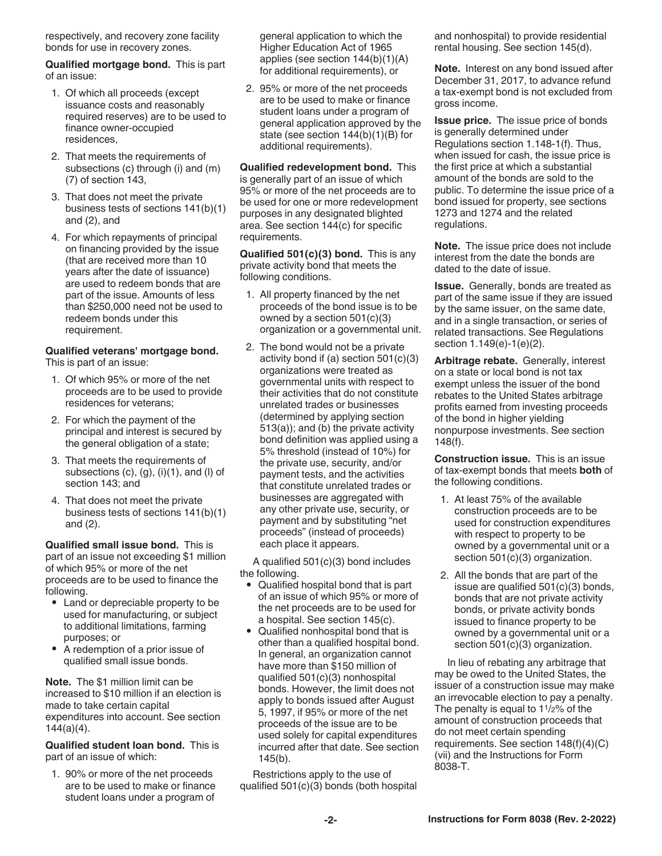respectively, and recovery zone facility bonds for use in recovery zones.

**Qualified mortgage bond.** This is part of an issue:

- 1. Of which all proceeds (except issuance costs and reasonably required reserves) are to be used to finance owner-occupied residences,
- 2. That meets the requirements of subsections (c) through (i) and (m) (7) of section 143,
- 3. That does not meet the private business tests of sections 141(b)(1) and (2), and
- 4. For which repayments of principal on financing provided by the issue (that are received more than 10 years after the date of issuance) are used to redeem bonds that are part of the issue. Amounts of less than \$250,000 need not be used to redeem bonds under this requirement.

## **Qualified veterans' mortgage bond.**

This is part of an issue:

- 1. Of which 95% or more of the net proceeds are to be used to provide residences for veterans;
- 2. For which the payment of the principal and interest is secured by the general obligation of a state;
- 3. That meets the requirements of subsections  $(c)$ ,  $(g)$ ,  $(i)(1)$ , and  $(l)$  of section 143; and
- 4. That does not meet the private business tests of sections 141(b)(1) and (2).

**Qualified small issue bond.** This is part of an issue not exceeding \$1 million of which 95% or more of the net proceeds are to be used to finance the following.

- Land or depreciable property to be used for manufacturing, or subject to additional limitations, farming purposes; or
- A redemption of a prior issue of qualified small issue bonds.

**Note.** The \$1 million limit can be increased to \$10 million if an election is made to take certain capital expenditures into account. See section  $144(a)(4)$ .

**Qualified student loan bond.** This is part of an issue of which:

1. 90% or more of the net proceeds are to be used to make or finance student loans under a program of

general application to which the Higher Education Act of 1965 applies (see section 144(b)(1)(A) for additional requirements), or

2. 95% or more of the net proceeds are to be used to make or finance student loans under a program of general application approved by the state (see section 144(b)(1)(B) for additional requirements).

**Qualified redevelopment bond.** This is generally part of an issue of which 95% or more of the net proceeds are to be used for one or more redevelopment purposes in any designated blighted area. See section 144(c) for specific requirements.

**Qualified 501(c)(3) bond.** This is any private activity bond that meets the following conditions.

- 1. All property financed by the net proceeds of the bond issue is to be owned by a section 501(c)(3) organization or a governmental unit.
- 2. The bond would not be a private activity bond if (a) section 501(c)(3) organizations were treated as governmental units with respect to their activities that do not constitute unrelated trades or businesses (determined by applying section 513(a)); and (b) the private activity bond definition was applied using a 5% threshold (instead of 10%) for the private use, security, and/or payment tests, and the activities that constitute unrelated trades or businesses are aggregated with any other private use, security, or payment and by substituting "net proceeds" (instead of proceeds) each place it appears.

A qualified 501(c)(3) bond includes the following.

- Qualified hospital bond that is part of an issue of which 95% or more of the net proceeds are to be used for a hospital. See section 145(c).
- Qualified nonhospital bond that is other than a qualified hospital bond. In general, an organization cannot have more than \$150 million of qualified 501(c)(3) nonhospital bonds. However, the limit does not apply to bonds issued after August 5, 1997, if 95% or more of the net proceeds of the issue are to be used solely for capital expenditures incurred after that date. See section 145(b).

Restrictions apply to the use of qualified 501(c)(3) bonds (both hospital and nonhospital) to provide residential rental housing. See section 145(d).

**Note.** Interest on any bond issued after December 31, 2017, to advance refund a tax-exempt bond is not excluded from gross income.

**Issue price.** The issue price of bonds is generally determined under Regulations section 1.148-1(f). Thus, when issued for cash, the issue price is the first price at which a substantial amount of the bonds are sold to the public. To determine the issue price of a bond issued for property, see sections 1273 and 1274 and the related regulations.

**Note.** The issue price does not include interest from the date the bonds are dated to the date of issue.

**Issue.** Generally, bonds are treated as part of the same issue if they are issued by the same issuer, on the same date, and in a single transaction, or series of related transactions. See Regulations section 1.149(e)-1(e)(2).

**Arbitrage rebate.** Generally, interest on a state or local bond is not tax exempt unless the issuer of the bond rebates to the United States arbitrage profits earned from investing proceeds of the bond in higher yielding nonpurpose investments. See section 148(f).

**Construction issue.** This is an issue of tax-exempt bonds that meets **both** of the following conditions.

- 1. At least 75% of the available construction proceeds are to be used for construction expenditures with respect to property to be owned by a governmental unit or a section 501(c)(3) organization.
- 2. All the bonds that are part of the issue are qualified  $501(c)(3)$  bonds, bonds that are not private activity bonds, or private activity bonds issued to finance property to be owned by a governmental unit or a section 501(c)(3) organization.

In lieu of rebating any arbitrage that may be owed to the United States, the issuer of a construction issue may make an irrevocable election to pay a penalty. The penalty is equal to  $1\frac{1}{2}\%$  of the amount of construction proceeds that do not meet certain spending requirements. See section 148(f)(4)(C) (vii) and the Instructions for Form 8038-T.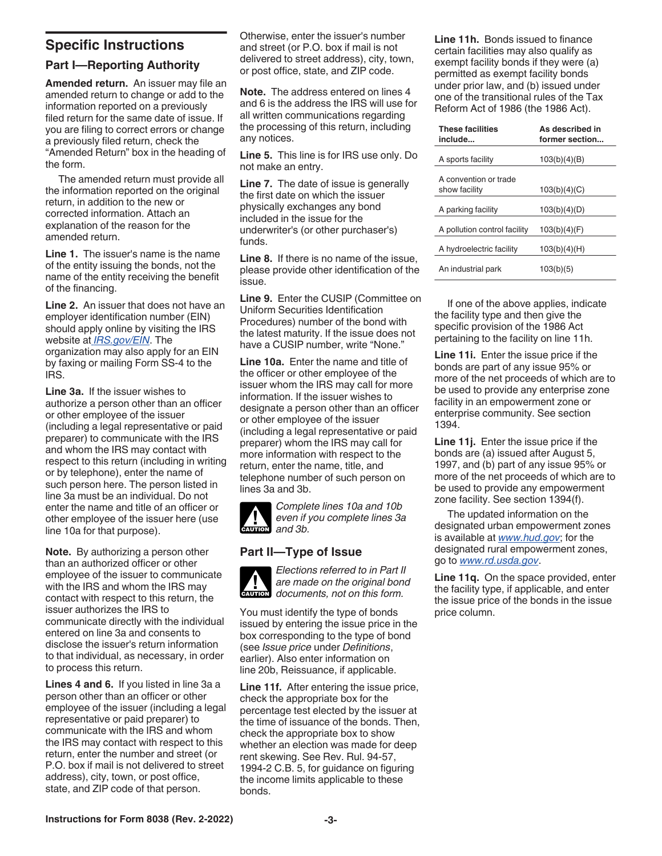## **Specific Instructions**

## **Part I—Reporting Authority**

**Amended return.** An issuer may file an amended return to change or add to the information reported on a previously filed return for the same date of issue. If you are filing to correct errors or change a previously filed return, check the "Amended Return" box in the heading of the form.

The amended return must provide all the information reported on the original return, in addition to the new or corrected information. Attach an explanation of the reason for the amended return.

**Line 1.** The issuer's name is the name of the entity issuing the bonds, not the name of the entity receiving the benefit of the financing.

**Line 2.** An issuer that does not have an employer identification number (EIN) should apply online by visiting the IRS website at *[IRS.gov/EIN](https://www.irs.gov/businesses/small-businesses-self-employed/apply-for-an-employer-identification-number-ein-online)*. The organization may also apply for an EIN by faxing or mailing Form SS-4 to the IRS.

**Line 3a.** If the issuer wishes to authorize a person other than an officer or other employee of the issuer (including a legal representative or paid preparer) to communicate with the IRS and whom the IRS may contact with respect to this return (including in writing or by telephone), enter the name of such person here. The person listed in line 3a must be an individual. Do not enter the name and title of an officer or other employee of the issuer here (use line 10a for that purpose).

**Note.** By authorizing a person other than an authorized officer or other employee of the issuer to communicate with the IRS and whom the IRS may contact with respect to this return, the issuer authorizes the IRS to communicate directly with the individual entered on line 3a and consents to disclose the issuer's return information to that individual, as necessary, in order to process this return.

**Lines 4 and 6.** If you listed in line 3a a person other than an officer or other employee of the issuer (including a legal representative or paid preparer) to communicate with the IRS and whom the IRS may contact with respect to this return, enter the number and street (or P.O. box if mail is not delivered to street address), city, town, or post office, state, and ZIP code of that person.

Otherwise, enter the issuer's number and street (or P.O. box if mail is not delivered to street address), city, town, or post office, state, and ZIP code.

**Note.** The address entered on lines 4 and 6 is the address the IRS will use for all written communications regarding the processing of this return, including any notices.

**Line 5.** This line is for IRS use only. Do not make an entry.

**Line 7.** The date of issue is generally the first date on which the issuer physically exchanges any bond included in the issue for the underwriter's (or other purchaser's) funds.

**Line 8.** If there is no name of the issue, please provide other identification of the issue.

**Line 9.** Enter the CUSIP (Committee on Uniform Securities Identification Procedures) number of the bond with the latest maturity. If the issue does not have a CUSIP number, write "None."

**Line 10a.** Enter the name and title of the officer or other employee of the issuer whom the IRS may call for more information. If the issuer wishes to designate a person other than an officer or other employee of the issuer (including a legal representative or paid preparer) whom the IRS may call for more information with respect to the return, enter the name, title, and telephone number of such person on lines 3a and 3b.



*Complete lines 10a and 10b even if you complete lines 3a <u>caution</u>* and 3b.

## **Part II—Type of Issue**



*Elections referred to in Part II are made on the original bond*  **documents, not on this form.** 

You must identify the type of bonds issued by entering the issue price in the box corresponding to the type of bond (see *Issue price* under *Definitions*, earlier). Also enter information on line 20b, Reissuance, if applicable.

**Line 11f.** After entering the issue price, check the appropriate box for the percentage test elected by the issuer at the time of issuance of the bonds. Then, check the appropriate box to show whether an election was made for deep rent skewing. See Rev. Rul. 94-57, 1994-2 C.B. 5, for guidance on figuring the income limits applicable to these bonds.

**Line 11h.** Bonds issued to finance certain facilities may also qualify as exempt facility bonds if they were (a) permitted as exempt facility bonds under prior law, and (b) issued under one of the transitional rules of the Tax Reform Act of 1986 (the 1986 Act).

| <b>These facilities</b><br>include     | As described in<br>former section |
|----------------------------------------|-----------------------------------|
| A sports facility                      | 103(b)(4)(B)                      |
| A convention or trade<br>show facility | 103(b)(4)(C)                      |
| A parking facility                     | 103(b)(4)(D)                      |
| A pollution control facility           | 103(b)(4)(F)                      |
| A hydroelectric facility               | 103(b)(4)(H)                      |
| An industrial park                     | 103(b)(5)                         |

If one of the above applies, indicate the facility type and then give the specific provision of the 1986 Act pertaining to the facility on line 11h.

**Line 11i.** Enter the issue price if the bonds are part of any issue 95% or more of the net proceeds of which are to be used to provide any enterprise zone facility in an empowerment zone or enterprise community. See section 1394.

**Line 11j.** Enter the issue price if the bonds are (a) issued after August 5, 1997, and (b) part of any issue 95% or more of the net proceeds of which are to be used to provide any empowerment zone facility. See section 1394(f).

The updated information on the designated urban empowerment zones is available at *[www.hud.gov](https://hud.gov)*; for the designated rural empowerment zones, go to *[www.rd.usda.gov](https://www.rd.usda.gov/programs-services/businesses/rural-economic-area-partnership-program-reap-zones)*.

**Line 11q.** On the space provided, enter the facility type, if applicable, and enter the issue price of the bonds in the issue price column.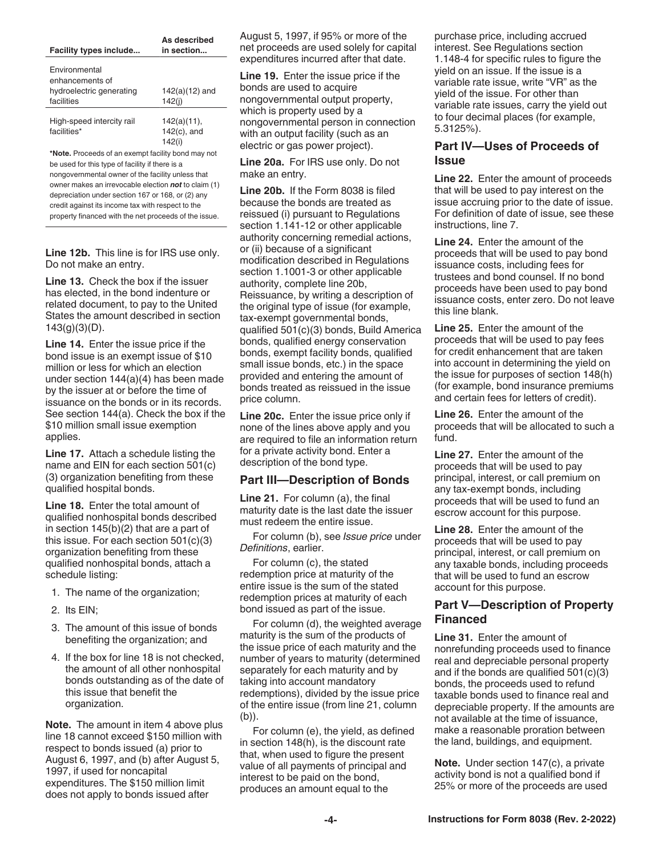| Facility types include                                                                                                                                     | As described<br>in section                 |
|------------------------------------------------------------------------------------------------------------------------------------------------------------|--------------------------------------------|
| Environmental<br>enhancements of<br>hydroelectric generating                                                                                               | $142(a)(12)$ and                           |
| facilities                                                                                                                                                 | 142(i)                                     |
| High-speed intercity rail<br>facilities*                                                                                                                   | $142(a)(11)$ ,<br>$142(c)$ , and<br>142(i) |
| *Note. Proceeds of an exempt facility bond may not<br>be used for this type of facility if there is a<br>nongovernmental owner of the facility unless that |                                            |
| owner makes an irrevocable election <b>not</b> to claim (1)                                                                                                |                                            |

owner makes an irrevocable election *not* to claim (1) depreciation under section 167 or 168, or (2) any credit against its income tax with respect to the property financed with the net proceeds of the issue.

**Line 12b.** This line is for IRS use only. Do not make an entry.

**Line 13.** Check the box if the issuer has elected, in the bond indenture or related document, to pay to the United States the amount described in section  $143(g)(3)(D)$ .

**Line 14.** Enter the issue price if the bond issue is an exempt issue of \$10 million or less for which an election under section 144(a)(4) has been made by the issuer at or before the time of issuance on the bonds or in its records. See section 144(a). Check the box if the \$10 million small issue exemption applies.

**Line 17.** Attach a schedule listing the name and EIN for each section 501(c) (3) organization benefiting from these qualified hospital bonds.

**Line 18.** Enter the total amount of qualified nonhospital bonds described in section 145(b)(2) that are a part of this issue. For each section 501(c)(3) organization benefiting from these qualified nonhospital bonds, attach a schedule listing:

- 1. The name of the organization;
- 2. Its EIN;
- 3. The amount of this issue of bonds benefiting the organization; and
- 4. If the box for line 18 is not checked, the amount of all other nonhospital bonds outstanding as of the date of this issue that benefit the organization.

**Note.** The amount in item 4 above plus line 18 cannot exceed \$150 million with respect to bonds issued (a) prior to August 6, 1997, and (b) after August 5, 1997, if used for noncapital expenditures. The \$150 million limit does not apply to bonds issued after

August 5, 1997, if 95% or more of the net proceeds are used solely for capital expenditures incurred after that date.

**Line 19.** Enter the issue price if the bonds are used to acquire nongovernmental output property, which is property used by a nongovernmental person in connection with an output facility (such as an electric or gas power project).

**Line 20a.** For IRS use only. Do not make an entry.

**Line 20b.** If the Form 8038 is filed because the bonds are treated as reissued (i) pursuant to Regulations section 1.141-12 or other applicable authority concerning remedial actions, or (ii) because of a significant modification described in Regulations section 1.1001-3 or other applicable authority, complete line 20b, Reissuance, by writing a description of the original type of issue (for example, tax-exempt governmental bonds, qualified 501(c)(3) bonds, Build America bonds, qualified energy conservation bonds, exempt facility bonds, qualified small issue bonds, etc.) in the space provided and entering the amount of bonds treated as reissued in the issue price column.

**Line 20c.** Enter the issue price only if none of the lines above apply and you are required to file an information return for a private activity bond. Enter a description of the bond type.

#### **Part III—Description of Bonds**

**Line 21.** For column (a), the final maturity date is the last date the issuer must redeem the entire issue.

For column (b), see *Issue price* under *Definitions*, earlier.

For column (c), the stated redemption price at maturity of the entire issue is the sum of the stated redemption prices at maturity of each bond issued as part of the issue.

For column (d), the weighted average maturity is the sum of the products of the issue price of each maturity and the number of years to maturity (determined separately for each maturity and by taking into account mandatory redemptions), divided by the issue price of the entire issue (from line 21, column (b)).

For column (e), the yield, as defined in section 148(h), is the discount rate that, when used to figure the present value of all payments of principal and interest to be paid on the bond, produces an amount equal to the

purchase price, including accrued interest. See Regulations section 1.148-4 for specific rules to figure the yield on an issue. If the issue is a variable rate issue, write "VR" as the yield of the issue. For other than variable rate issues, carry the yield out to four decimal places (for example, 5.3125%).

## **Part IV—Uses of Proceeds of Issue**

**Line 22.** Enter the amount of proceeds that will be used to pay interest on the issue accruing prior to the date of issue. For definition of date of issue, see these instructions, line 7.

**Line 24.** Enter the amount of the proceeds that will be used to pay bond issuance costs, including fees for trustees and bond counsel. If no bond proceeds have been used to pay bond issuance costs, enter zero. Do not leave this line blank.

**Line 25.** Enter the amount of the proceeds that will be used to pay fees for credit enhancement that are taken into account in determining the yield on the issue for purposes of section 148(h) (for example, bond insurance premiums and certain fees for letters of credit).

**Line 26.** Enter the amount of the proceeds that will be allocated to such a fund.

**Line 27.** Enter the amount of the proceeds that will be used to pay principal, interest, or call premium on any tax-exempt bonds, including proceeds that will be used to fund an escrow account for this purpose.

**Line 28.** Enter the amount of the proceeds that will be used to pay principal, interest, or call premium on any taxable bonds, including proceeds that will be used to fund an escrow account for this purpose.

#### **Part V—Description of Property Financed**

**Line 31.** Enter the amount of nonrefunding proceeds used to finance real and depreciable personal property and if the bonds are qualified 501(c)(3) bonds, the proceeds used to refund taxable bonds used to finance real and depreciable property. If the amounts are not available at the time of issuance, make a reasonable proration between the land, buildings, and equipment.

**Note.** Under section 147(c), a private activity bond is not a qualified bond if 25% or more of the proceeds are used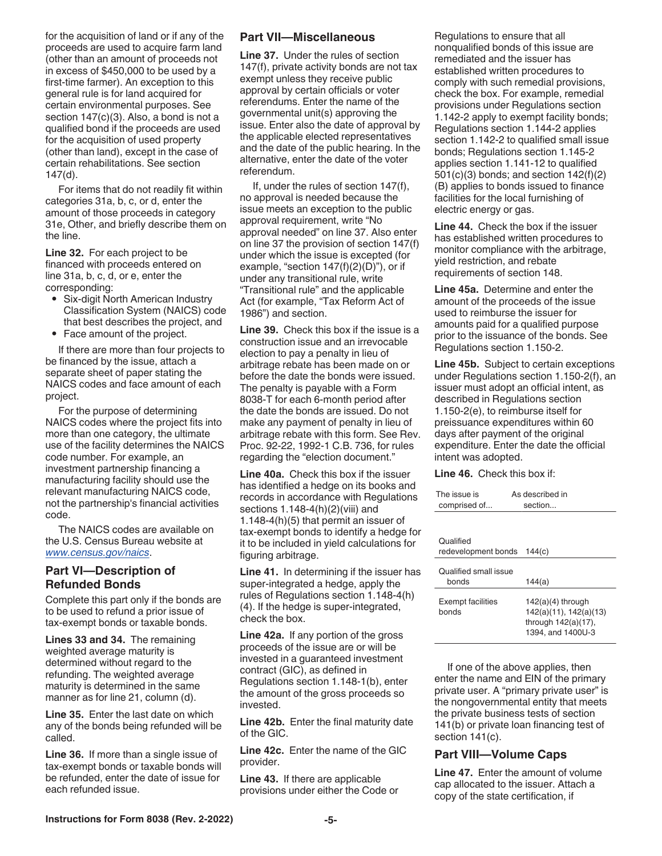for the acquisition of land or if any of the proceeds are used to acquire farm land (other than an amount of proceeds not in excess of \$450,000 to be used by a first-time farmer). An exception to this general rule is for land acquired for certain environmental purposes. See section 147(c)(3). Also, a bond is not a qualified bond if the proceeds are used for the acquisition of used property (other than land), except in the case of certain rehabilitations. See section 147(d).

For items that do not readily fit within categories 31a, b, c, or d, enter the amount of those proceeds in category 31e, Other, and briefly describe them on the line.

**Line 32.** For each project to be financed with proceeds entered on line 31a, b, c, d, or e, enter the corresponding:

- Six-digit North American Industry Classification System (NAICS) code that best describes the project, and
- Face amount of the project.

If there are more than four projects to be financed by the issue, attach a separate sheet of paper stating the NAICS codes and face amount of each project.

For the purpose of determining NAICS codes where the project fits into more than one category, the ultimate use of the facility determines the NAICS code number. For example, an investment partnership financing a manufacturing facility should use the relevant manufacturing NAICS code, not the partnership's financial activities code.

The NAICS codes are available on the U.S. Census Bureau website at *[www.census.gov/naics](https://www.census.gov/naics/)*.

## **Part VI—Description of Refunded Bonds**

Complete this part only if the bonds are to be used to refund a prior issue of tax-exempt bonds or taxable bonds.

**Lines 33 and 34.** The remaining weighted average maturity is determined without regard to the refunding. The weighted average maturity is determined in the same manner as for line 21, column (d).

**Line 35.** Enter the last date on which any of the bonds being refunded will be called.

**Line 36.** If more than a single issue of tax-exempt bonds or taxable bonds will be refunded, enter the date of issue for each refunded issue.

#### **Part VII—Miscellaneous**

**Line 37.** Under the rules of section 147(f), private activity bonds are not tax exempt unless they receive public approval by certain officials or voter referendums. Enter the name of the governmental unit(s) approving the issue. Enter also the date of approval by the applicable elected representatives and the date of the public hearing. In the alternative, enter the date of the voter referendum.

If, under the rules of section 147(f), no approval is needed because the issue meets an exception to the public approval requirement, write "No approval needed" on line 37. Also enter on line 37 the provision of section 147(f) under which the issue is excepted (for example, "section  $147(f)(2)(D)$ "), or if under any transitional rule, write "Transitional rule" and the applicable Act (for example, "Tax Reform Act of 1986") and section.

**Line 39.** Check this box if the issue is a construction issue and an irrevocable election to pay a penalty in lieu of arbitrage rebate has been made on or before the date the bonds were issued. The penalty is payable with a Form 8038-T for each 6-month period after the date the bonds are issued. Do not make any payment of penalty in lieu of arbitrage rebate with this form. See Rev. Proc. 92-22, 1992-1 C.B. 736, for rules regarding the "election document."

**Line 40a.** Check this box if the issuer has identified a hedge on its books and records in accordance with Regulations sections 1.148-4(h)(2)(viii) and 1.148-4(h)(5) that permit an issuer of tax-exempt bonds to identify a hedge for it to be included in yield calculations for figuring arbitrage.

**Line 41.** In determining if the issuer has super-integrated a hedge, apply the rules of Regulations section 1.148-4(h) (4). If the hedge is super-integrated, check the box.

**Line 42a.** If any portion of the gross proceeds of the issue are or will be invested in a guaranteed investment contract (GIC), as defined in Regulations section 1.148-1(b), enter the amount of the gross proceeds so invested.

**Line 42b.** Enter the final maturity date of the GIC.

**Line 42c.** Enter the name of the GIC provider.

**Line 43.** If there are applicable provisions under either the Code or Regulations to ensure that all nonqualified bonds of this issue are remediated and the issuer has established written procedures to comply with such remedial provisions, check the box. For example, remedial provisions under Regulations section 1.142-2 apply to exempt facility bonds; Regulations section 1.144-2 applies section 1.142-2 to qualified small issue bonds; Regulations section 1.145-2 applies section 1.141-12 to qualified 501(c)(3) bonds; and section 142(f)(2) (B) applies to bonds issued to finance facilities for the local furnishing of electric energy or gas.

**Line 44.** Check the box if the issuer has established written procedures to monitor compliance with the arbitrage, yield restriction, and rebate requirements of section 148.

**Line 45a.** Determine and enter the amount of the proceeds of the issue used to reimburse the issuer for amounts paid for a qualified purpose prior to the issuance of the bonds. See Regulations section 1.150-2.

**Line 45b.** Subject to certain exceptions under Regulations section 1.150-2(f), an issuer must adopt an official intent, as described in Regulations section 1.150-2(e), to reimburse itself for preissuance expenditures within 60 days after payment of the original expenditure. Enter the date the official intent was adopted.

**Line 46.** Check this box if:

| The issue is<br>comprised of      | As described in<br>section                                                                   |
|-----------------------------------|----------------------------------------------------------------------------------------------|
|                                   |                                                                                              |
| Qualified<br>redevelopment bonds  | 144(c)                                                                                       |
| Qualified small issue<br>bonds    | 144(a)                                                                                       |
| <b>Exempt facilities</b><br>bonds | $142(a)(4)$ through<br>142(a)(11), 142(a)(13)<br>through $142(a)(17)$ ,<br>1394, and 1400U-3 |

If one of the above applies, then enter the name and EIN of the primary private user. A "primary private user" is the nongovernmental entity that meets the private business tests of section 141(b) or private loan financing test of section 141(c).

## **Part VIII—Volume Caps**

**Line 47.** Enter the amount of volume cap allocated to the issuer. Attach a copy of the state certification, if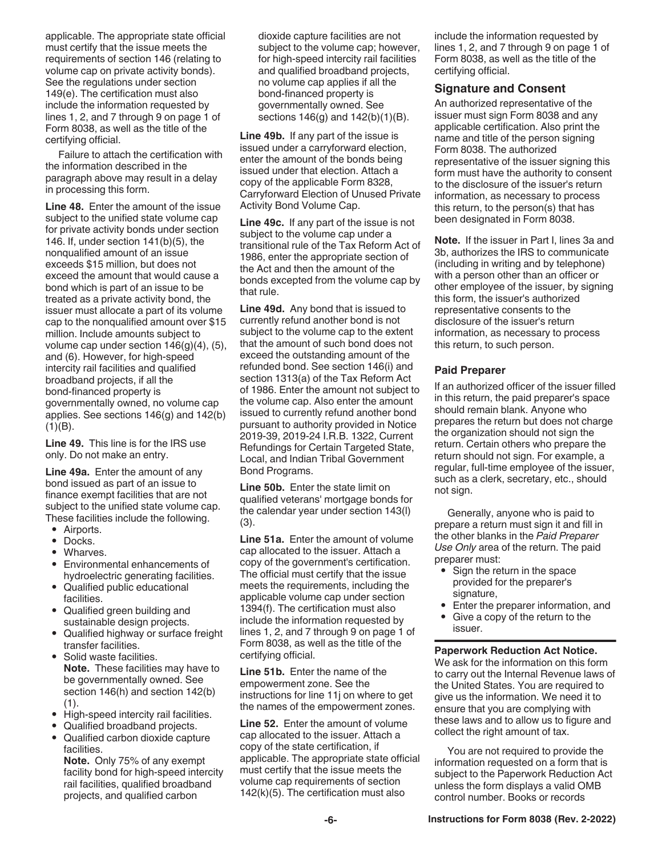applicable. The appropriate state official must certify that the issue meets the requirements of section 146 (relating to volume cap on private activity bonds). See the regulations under section 149(e). The certification must also include the information requested by lines 1, 2, and 7 through 9 on page 1 of Form 8038, as well as the title of the certifying official.

Failure to attach the certification with the information described in the paragraph above may result in a delay in processing this form.

**Line 48.** Enter the amount of the issue subject to the unified state volume cap for private activity bonds under section 146. If, under section 141(b)(5), the nonqualified amount of an issue exceeds \$15 million, but does not exceed the amount that would cause a bond which is part of an issue to be treated as a private activity bond, the issuer must allocate a part of its volume cap to the nonqualified amount over \$15 million. Include amounts subject to volume cap under section 146(g)(4), (5), and (6). However, for high-speed intercity rail facilities and qualified broadband projects, if all the bond-financed property is governmentally owned, no volume cap applies. See sections 146(g) and 142(b)  $(1)(B)$ .

**Line 49.** This line is for the IRS use only. Do not make an entry.

**Line 49a.** Enter the amount of any bond issued as part of an issue to finance exempt facilities that are not subject to the unified state volume cap. These facilities include the following.

- Airports.
- Docks.
- Wharves.
- Environmental enhancements of hydroelectric generating facilities.
- Qualified public educational facilities.
- Qualified green building and sustainable design projects.
- Qualified highway or surface freight transfer facilities.
- Solid waste facilities. **Note.** These facilities may have to be governmentally owned. See section 146(h) and section 142(b) (1).
- High-speed intercity rail facilities.
- Qualified broadband projects.
- Qualified carbon dioxide capture facilities.

**Note.** Only 75% of any exempt facility bond for high-speed intercity rail facilities, qualified broadband projects, and qualified carbon

dioxide capture facilities are not subject to the volume cap; however, for high-speed intercity rail facilities and qualified broadband projects, no volume cap applies if all the bond-financed property is governmentally owned. See sections 146(g) and 142(b)(1)(B).

**Line 49b.** If any part of the issue is issued under a carryforward election, enter the amount of the bonds being issued under that election. Attach a copy of the applicable Form 8328, Carryforward Election of Unused Private Activity Bond Volume Cap.

**Line 49c.** If any part of the issue is not subject to the volume cap under a transitional rule of the Tax Reform Act of 1986, enter the appropriate section of the Act and then the amount of the bonds excepted from the volume cap by that rule.

**Line 49d.** Any bond that is issued to currently refund another bond is not subject to the volume cap to the extent that the amount of such bond does not exceed the outstanding amount of the refunded bond. See section 146(i) and section 1313(a) of the Tax Reform Act of 1986. Enter the amount not subject to the volume cap. Also enter the amount issued to currently refund another bond pursuant to authority provided in Notice 2019-39, 2019-24 I.R.B. 1322, Current Refundings for Certain Targeted State, Local, and Indian Tribal Government Bond Programs.

**Line 50b.** Enter the state limit on qualified veterans' mortgage bonds for the calendar year under section 143(l) (3).

**Line 51a.** Enter the amount of volume cap allocated to the issuer. Attach a copy of the government's certification. The official must certify that the issue meets the requirements, including the applicable volume cap under section 1394(f). The certification must also include the information requested by lines 1, 2, and 7 through 9 on page 1 of Form 8038, as well as the title of the certifying official.

**Line 51b.** Enter the name of the empowerment zone. See the instructions for line 11j on where to get the names of the empowerment zones.

**Line 52.** Enter the amount of volume cap allocated to the issuer. Attach a copy of the state certification, if applicable. The appropriate state official must certify that the issue meets the volume cap requirements of section 142(k)(5). The certification must also

include the information requested by lines 1, 2, and 7 through 9 on page 1 of Form 8038, as well as the title of the certifying official.

#### **Signature and Consent**

An authorized representative of the issuer must sign Form 8038 and any applicable certification. Also print the name and title of the person signing Form 8038. The authorized representative of the issuer signing this form must have the authority to consent to the disclosure of the issuer's return information, as necessary to process this return, to the person(s) that has been designated in Form 8038.

**Note.** If the issuer in Part I, lines 3a and 3b, authorizes the IRS to communicate (including in writing and by telephone) with a person other than an officer or other employee of the issuer, by signing this form, the issuer's authorized representative consents to the disclosure of the issuer's return information, as necessary to process this return, to such person.

#### **Paid Preparer**

If an authorized officer of the issuer filled in this return, the paid preparer's space should remain blank. Anyone who prepares the return but does not charge the organization should not sign the return. Certain others who prepare the return should not sign. For example, a regular, full-time employee of the issuer, such as a clerk, secretary, etc., should not sign.

Generally, anyone who is paid to prepare a return must sign it and fill in the other blanks in the *Paid Preparer Use Only* area of the return. The paid preparer must:

- Sign the return in the space provided for the preparer's signature,
- Enter the preparer information, and
- Give a copy of the return to the issuer.

#### **Paperwork Reduction Act Notice.**

We ask for the information on this form to carry out the Internal Revenue laws of the United States. You are required to give us the information. We need it to ensure that you are complying with these laws and to allow us to figure and collect the right amount of tax.

You are not required to provide the information requested on a form that is subject to the Paperwork Reduction Act unless the form displays a valid OMB control number. Books or records